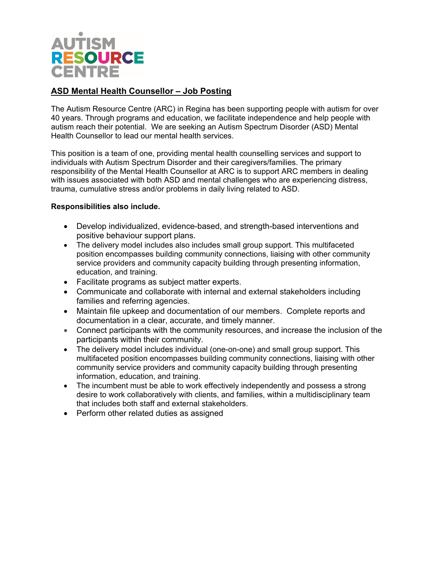

## **ASD Mental Health Counsellor – Job Posting**

The Autism Resource Centre (ARC) in Regina has been supporting people with autism for over 40 years. Through programs and education, we facilitate independence and help people with autism reach their potential. We are seeking an Autism Spectrum Disorder (ASD) Mental Health Counsellor to lead our mental health services.

This position is a team of one, providing mental health counselling services and support to individuals with Autism Spectrum Disorder and their caregivers/families. The primary responsibility of the Mental Health Counsellor at ARC is to support ARC members in dealing with issues associated with both ASD and mental challenges who are experiencing distress, trauma, cumulative stress and/or problems in daily living related to ASD.

## **Responsibilities also include.**

- Develop individualized, evidence-based, and strength-based interventions and positive behaviour support plans.
- The delivery model includes also includes small group support. This multifaceted position encompasses building community connections, liaising with other community service providers and community capacity building through presenting information, education, and training.
- Facilitate programs as subject matter experts.
- Communicate and collaborate with internal and external stakeholders including families and referring agencies.
- Maintain file upkeep and documentation of our members. Complete reports and documentation in a clear, accurate, and timely manner.
- Connect participants with the community resources, and increase the inclusion of the participants within their community.
- The delivery model includes individual (one-on-one) and small group support. This multifaceted position encompasses building community connections, liaising with other community service providers and community capacity building through presenting information, education, and training.
- The incumbent must be able to work effectively independently and possess a strong desire to work collaboratively with clients, and families, within a multidisciplinary team that includes both staff and external stakeholders.
- Perform other related duties as assigned